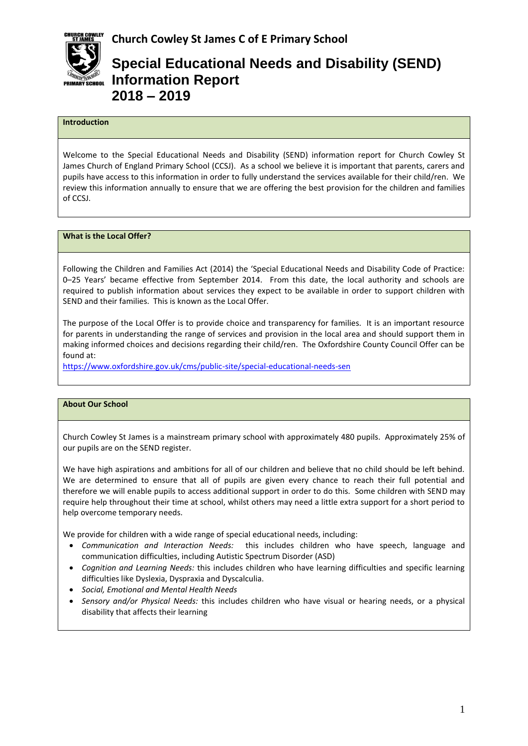

# **Special Educational Needs and Disability (SEND) Information Report 2018 – 2019**

# **Introduction**

Welcome to the Special Educational Needs and Disability (SEND) information report for Church Cowley St James Church of England Primary School (CCSJ). As a school we believe it is important that parents, carers and pupils have access to this information in order to fully understand the services available for their child/ren. We review this information annually to ensure that we are offering the best provision for the children and families of CCSJ.

### **What is the Local Offer?**

Following the Children and Families Act (2014) the 'Special Educational Needs and Disability Code of Practice: 0–25 Years' became effective from September 2014. From this date, the local authority and schools are required to publish information about services they expect to be available in order to support children with SEND and their families. This is known as the Local Offer.

The purpose of the Local Offer is to provide choice and transparency for families. It is an important resource for parents in understanding the range of services and provision in the local area and should support them in making informed choices and decisions regarding their child/ren. The Oxfordshire County Council Offer can be found at:

<https://www.oxfordshire.gov.uk/cms/public-site/special-educational-needs-sen>

#### **About Our School**

Church Cowley St James is a mainstream primary school with approximately 480 pupils. Approximately 25% of our pupils are on the SEND register.

We have high aspirations and ambitions for all of our children and believe that no child should be left behind. We are determined to ensure that all of pupils are given every chance to reach their full potential and therefore we will enable pupils to access additional support in order to do this. Some children with SEND may require help throughout their time at school, whilst others may need a little extra support for a short period to help overcome temporary needs.

We provide for children with a wide range of special educational needs, including:

- *Communication and Interaction Needs:* this includes children who have speech, language and communication difficulties, including Autistic Spectrum Disorder (ASD)
- *Cognition and Learning Needs:* this includes children who have learning difficulties and specific learning difficulties like Dyslexia, Dyspraxia and Dyscalculia.
- *Social, Emotional and Mental Health Needs*
- *Sensory and/or Physical Needs:* this includes children who have visual or hearing needs, or a physical disability that affects their learning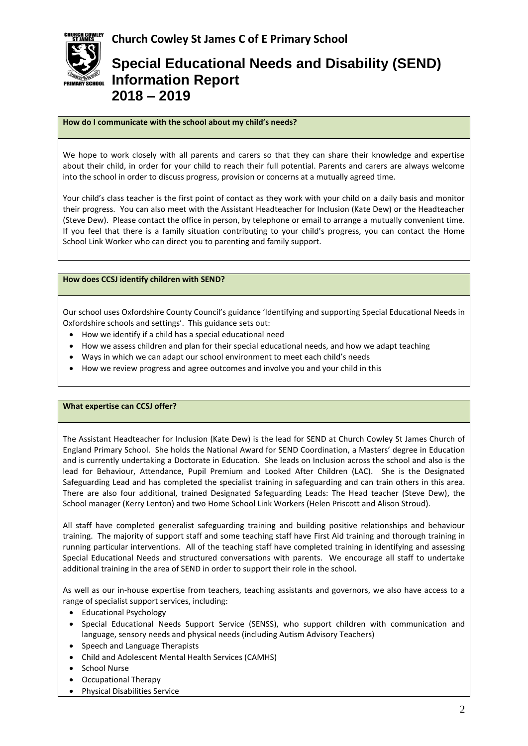

# **Special Educational Needs and Disability (SEND) Information Report 2018 – 2019**

## **How do I communicate with the school about my child's needs?**

We hope to work closely with all parents and carers so that they can share their knowledge and expertise about their child, in order for your child to reach their full potential. Parents and carers are always welcome into the school in order to discuss progress, provision or concerns at a mutually agreed time.

Your child's class teacher is the first point of contact as they work with your child on a daily basis and monitor their progress. You can also meet with the Assistant Headteacher for Inclusion (Kate Dew) or the Headteacher (Steve Dew). Please contact the office in person, by telephone or email to arrange a mutually convenient time. If you feel that there is a family situation contributing to your child's progress, you can contact the Home School Link Worker who can direct you to parenting and family support.

## **How does CCSJ identify children with SEND?**

Our school uses Oxfordshire County Council's guidance 'Identifying and supporting Special Educational Needs in Oxfordshire schools and settings'. This guidance sets out:

- How we identify if a child has a special educational need
- How we assess children and plan for their special educational needs, and how we adapt teaching
- Ways in which we can adapt our school environment to meet each child's needs
- How we review progress and agree outcomes and involve you and your child in this

### **What expertise can CCSJ offer?**

The Assistant Headteacher for Inclusion (Kate Dew) is the lead for SEND at Church Cowley St James Church of England Primary School. She holds the National Award for SEND Coordination, a Masters' degree in Education and is currently undertaking a Doctorate in Education. She leads on Inclusion across the school and also is the lead for Behaviour, Attendance, Pupil Premium and Looked After Children (LAC). She is the Designated Safeguarding Lead and has completed the specialist training in safeguarding and can train others in this area. There are also four additional, trained Designated Safeguarding Leads: The Head teacher (Steve Dew), the School manager (Kerry Lenton) and two Home School Link Workers (Helen Priscott and Alison Stroud).

All staff have completed generalist safeguarding training and building positive relationships and behaviour training. The majority of support staff and some teaching staff have First Aid training and thorough training in running particular interventions. All of the teaching staff have completed training in identifying and assessing Special Educational Needs and structured conversations with parents. We encourage all staff to undertake additional training in the area of SEND in order to support their role in the school.

As well as our in-house expertise from teachers, teaching assistants and governors, we also have access to a range of specialist support services, including:

- Educational Psychology
- Special Educational Needs Support Service (SENSS), who support children with communication and language, sensory needs and physical needs (including Autism Advisory Teachers)
- Speech and Language Therapists
- Child and Adolescent Mental Health Services (CAMHS)
- School Nurse
- Occupational Therapy
- Physical Disabilities Service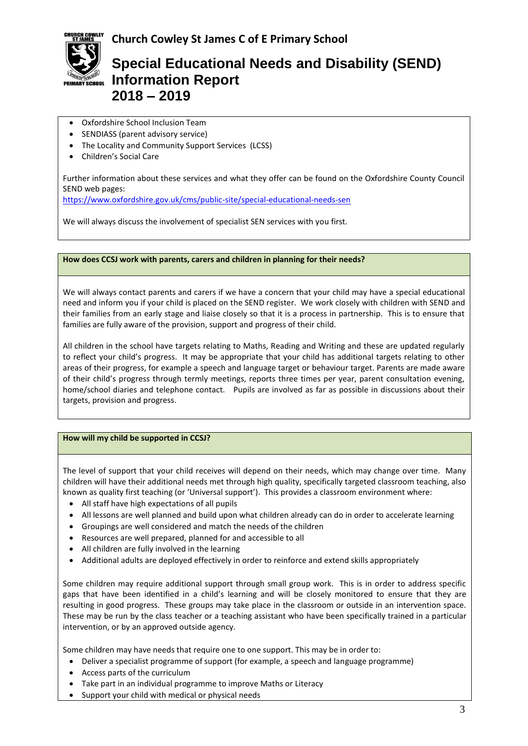



# **Special Educational Needs and Disability (SEND) Information Report 2018 – 2019**

- Oxfordshire School Inclusion Team
- SENDIASS (parent advisory service)
- The Locality and Community Support Services (LCSS)
- Children's Social Care

Further information about these services and what they offer can be found on the Oxfordshire County Council SEND web pages:

<https://www.oxfordshire.gov.uk/cms/public-site/special-educational-needs-sen>

We will always discuss the involvement of specialist SEN services with you first.

### **How does CCSJ work with parents, carers and children in planning for their needs?**

We will always contact parents and carers if we have a concern that your child may have a special educational need and inform you if your child is placed on the SEND register. We work closely with children with SEND and their families from an early stage and liaise closely so that it is a process in partnership. This is to ensure that families are fully aware of the provision, support and progress of their child.

All children in the school have targets relating to Maths, Reading and Writing and these are updated regularly to reflect your child's progress. It may be appropriate that your child has additional targets relating to other areas of their progress, for example a speech and language target or behaviour target. Parents are made aware of their child's progress through termly meetings, reports three times per year, parent consultation evening, home/school diaries and telephone contact. Pupils are involved as far as possible in discussions about their targets, provision and progress.

### **How will my child be supported in CCSJ?**

The level of support that your child receives will depend on their needs, which may change over time. Many children will have their additional needs met through high quality, specifically targeted classroom teaching, also known as quality first teaching (or 'Universal support'). This provides a classroom environment where:

- All staff have high expectations of all pupils
- All lessons are well planned and build upon what children already can do in order to accelerate learning
- Groupings are well considered and match the needs of the children
- Resources are well prepared, planned for and accessible to all
- All children are fully involved in the learning
- Additional adults are deployed effectively in order to reinforce and extend skills appropriately

Some children may require additional support through small group work. This is in order to address specific gaps that have been identified in a child's learning and will be closely monitored to ensure that they are resulting in good progress. These groups may take place in the classroom or outside in an intervention space. These may be run by the class teacher or a teaching assistant who have been specifically trained in a particular intervention, or by an approved outside agency.

Some children may have needs that require one to one support. This may be in order to:

- Deliver a specialist programme of support (for example, a speech and language programme)
- Access parts of the curriculum
- Take part in an individual programme to improve Maths or Literacy
- Support your child with medical or physical needs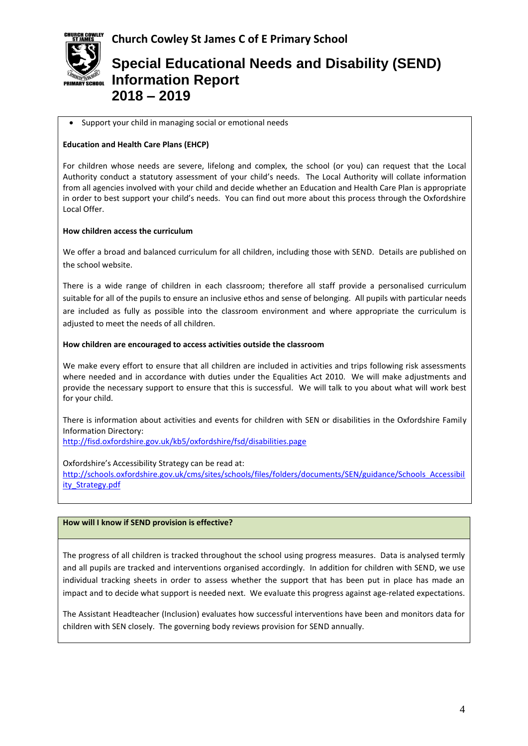



# **Special Educational Needs and Disability (SEND) Information Report 2018 – 2019**

### Support your child in managing social or emotional needs

### **Education and Health Care Plans (EHCP)**

For children whose needs are severe, lifelong and complex, the school (or you) can request that the Local Authority conduct a statutory assessment of your child's needs. The Local Authority will collate information from all agencies involved with your child and decide whether an Education and Health Care Plan is appropriate in order to best support your child's needs. You can find out more about this process through the Oxfordshire Local Offer.

### **How children access the curriculum**

We offer a broad and balanced curriculum for all children, including those with SEND. Details are published on the school website.

There is a wide range of children in each classroom; therefore all staff provide a personalised curriculum suitable for all of the pupils to ensure an inclusive ethos and sense of belonging. All pupils with particular needs are included as fully as possible into the classroom environment and where appropriate the curriculum is adjusted to meet the needs of all children.

### **How children are encouraged to access activities outside the classroom**

We make every effort to ensure that all children are included in activities and trips following risk assessments where needed and in accordance with duties under the Equalities Act 2010. We will make adjustments and provide the necessary support to ensure that this is successful. We will talk to you about what will work best for your child.

There is information about activities and events for children with SEN or disabilities in the Oxfordshire Family Information Directory:

<http://fisd.oxfordshire.gov.uk/kb5/oxfordshire/fsd/disabilities.page>

Oxfordshire's Accessibility Strategy can be read at:

[http://schools.oxfordshire.gov.uk/cms/sites/schools/files/folders/documents/SEN/guidance/Schools\\_Accessibil](http://schools.oxfordshire.gov.uk/cms/sites/schools/files/folders/documents/SEN/guidance/Schools_Accessibility_Strategy.pdf) [ity\\_Strategy.pdf](http://schools.oxfordshire.gov.uk/cms/sites/schools/files/folders/documents/SEN/guidance/Schools_Accessibility_Strategy.pdf)

### **How will I know if SEND provision is effective?**

The progress of all children is tracked throughout the school using progress measures. Data is analysed termly and all pupils are tracked and interventions organised accordingly. In addition for children with SEND, we use individual tracking sheets in order to assess whether the support that has been put in place has made an impact and to decide what support is needed next. We evaluate this progress against age-related expectations.

The Assistant Headteacher (Inclusion) evaluates how successful interventions have been and monitors data for children with SEN closely. The governing body reviews provision for SEND annually.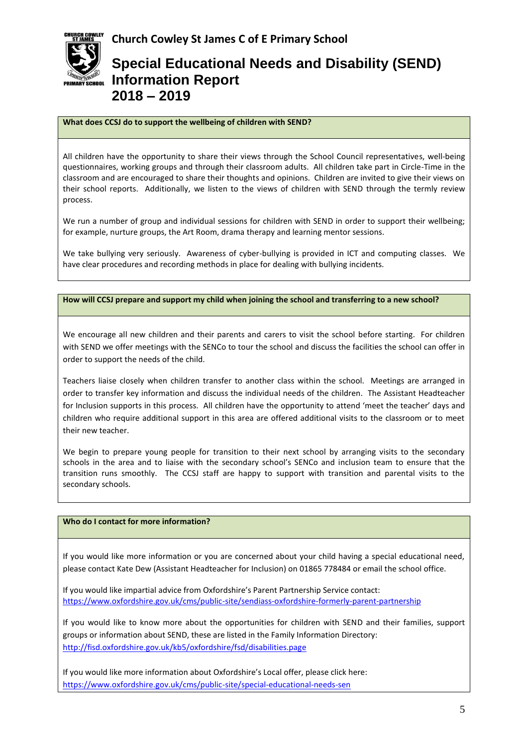

# **Special Educational Needs and Disability (SEND) Information Report 2018 – 2019**

## **What does CCSJ do to support the wellbeing of children with SEND?**

All children have the opportunity to share their views through the School Council representatives, well-being questionnaires, working groups and through their classroom adults. All children take part in Circle-Time in the classroom and are encouraged to share their thoughts and opinions. Children are invited to give their views on their school reports. Additionally, we listen to the views of children with SEND through the termly review process.

We run a number of group and individual sessions for children with SEND in order to support their wellbeing; for example, nurture groups, the Art Room, drama therapy and learning mentor sessions.

We take bullying very seriously. Awareness of cyber-bullying is provided in ICT and computing classes. We have clear procedures and recording methods in place for dealing with bullying incidents.

### **How will CCSJ prepare and support my child when joining the school and transferring to a new school?**

We encourage all new children and their parents and carers to visit the school before starting. For children with SEND we offer meetings with the SENCo to tour the school and discuss the facilities the school can offer in order to support the needs of the child.

Teachers liaise closely when children transfer to another class within the school. Meetings are arranged in order to transfer key information and discuss the individual needs of the children. The Assistant Headteacher for Inclusion supports in this process. All children have the opportunity to attend 'meet the teacher' days and children who require additional support in this area are offered additional visits to the classroom or to meet their new teacher.

We begin to prepare young people for transition to their next school by arranging visits to the secondary schools in the area and to liaise with the secondary school's SENCo and inclusion team to ensure that the transition runs smoothly. The CCSJ staff are happy to support with transition and parental visits to the secondary schools.

### **Who do I contact for more information?**

If you would like more information or you are concerned about your child having a special educational need, please contact Kate Dew (Assistant Headteacher for Inclusion) on 01865 778484 or email the school office.

If you would like impartial advice from Oxfordshire's Parent Partnership Service contact: <https://www.oxfordshire.gov.uk/cms/public-site/sendiass-oxfordshire-formerly-parent-partnership>

If you would like to know more about the opportunities for children with SEND and their families, support groups or information about SEND, these are listed in the Family Information Directory: <http://fisd.oxfordshire.gov.uk/kb5/oxfordshire/fsd/disabilities.page>

If you would like more information about Oxfordshire's Local offer, please click here: <https://www.oxfordshire.gov.uk/cms/public-site/special-educational-needs-sen>